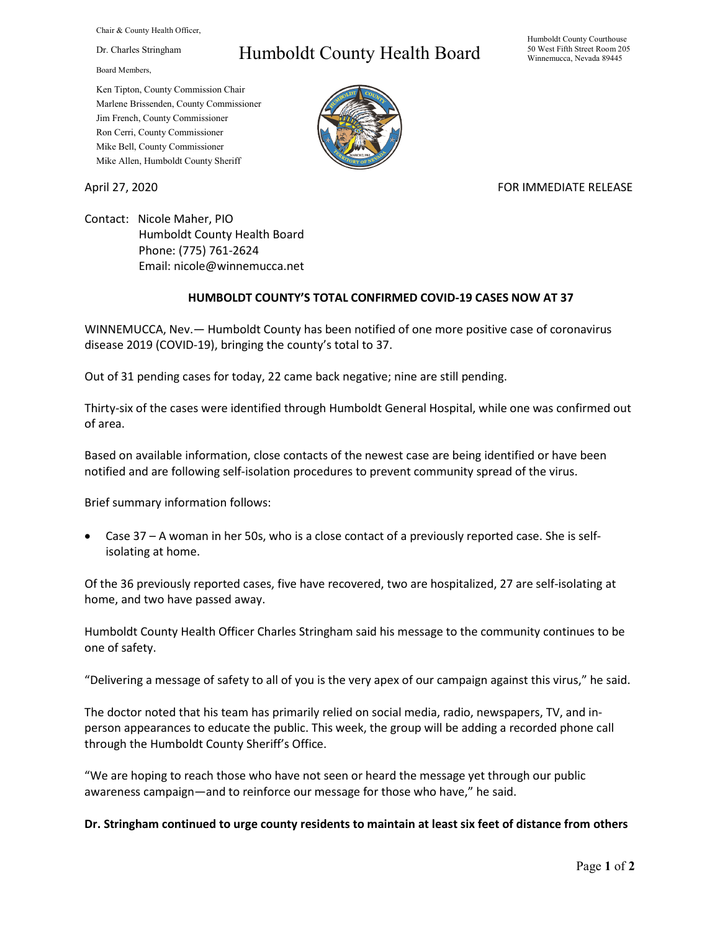Chair & County Health Officer,

Dr. Charles Stringham

Board Members,

# Humboldt County Health Board

Humboldt County Courthouse 50 West Fifth Street Room 205 Winnemucca, Nevada 89445

Ken Tipton, County Commission Chair Marlene Brissenden, County Commissioner Jim French, County Commissioner Ron Cerri, County Commissioner Mike Bell, County Commissioner Mike Allen, Humboldt County Sheriff

## April 27, 2020 **FOR IMMEDIATE RELEASE**

Contact: Nicole Maher, PIO Humboldt County Health Board Phone: (775) 761-2624 Email: nicole@winnemucca.net

## **HUMBOLDT COUNTY'S TOTAL CONFIRMED COVID-19 CASES NOW AT 37**

WINNEMUCCA, Nev.— Humboldt County has been notified of one more positive case of coronavirus disease 2019 (COVID-19), bringing the county's total to 37.

Out of 31 pending cases for today, 22 came back negative; nine are still pending.

Thirty-six of the cases were identified through Humboldt General Hospital, while one was confirmed out of area.

Based on available information, close contacts of the newest case are being identified or have been notified and are following self-isolation procedures to prevent community spread of the virus.

Brief summary information follows:

• Case 37 – A woman in her 50s, who is a close contact of a previously reported case. She is selfisolating at home.

Of the 36 previously reported cases, five have recovered, two are hospitalized, 27 are self-isolating at home, and two have passed away.

Humboldt County Health Officer Charles Stringham said his message to the community continues to be one of safety.

"Delivering a message of safety to all of you is the very apex of our campaign against this virus," he said.

The doctor noted that his team has primarily relied on social media, radio, newspapers, TV, and inperson appearances to educate the public. This week, the group will be adding a recorded phone call through the Humboldt County Sheriff's Office.

"We are hoping to reach those who have not seen or heard the message yet through our public awareness campaign—and to reinforce our message for those who have," he said.

#### **Dr. Stringham continued to urge county residents to maintain at least six feet of distance from others**